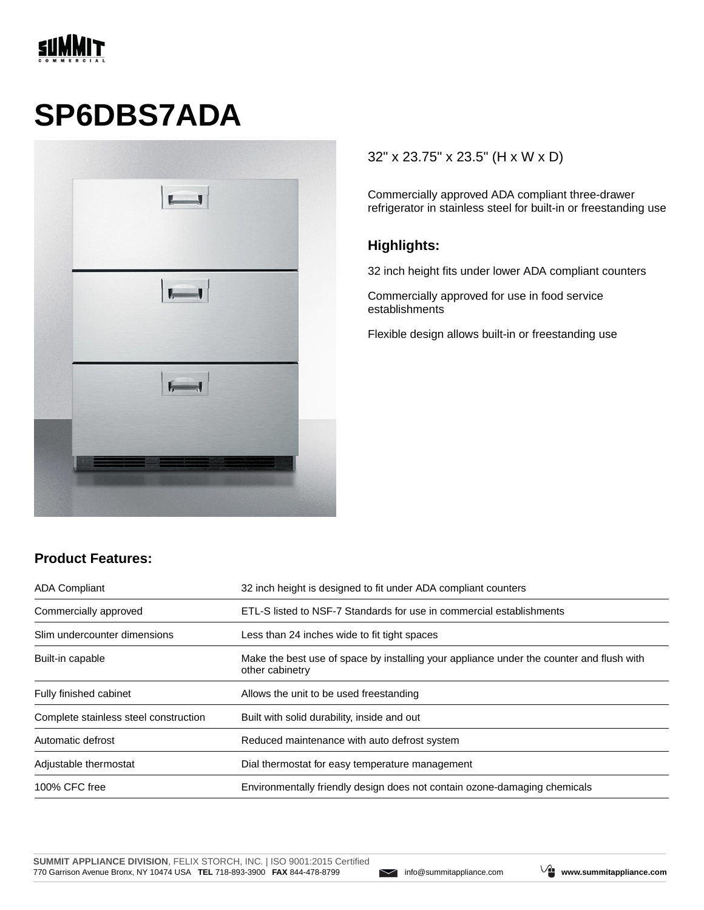

# **SP6DBS7ADA**



#### 32" x 23.75" x 23.5" (H x W x D)

Commercially approved ADA compliant three-drawer refrigerator in stainless steel for built-in or freestanding use

#### **Highlights:**

32 inch height fits under lower ADA compliant counters

Commercially approved for use in food service establishments

Flexible design allows built-in or freestanding use

### **Product Features:**

| <b>ADA Compliant</b>                  | 32 inch height is designed to fit under ADA compliant counters                                              |  |
|---------------------------------------|-------------------------------------------------------------------------------------------------------------|--|
| Commercially approved                 | ETL-S listed to NSF-7 Standards for use in commercial establishments                                        |  |
| Slim undercounter dimensions          | Less than 24 inches wide to fit tight spaces                                                                |  |
| Built-in capable                      | Make the best use of space by installing your appliance under the counter and flush with<br>other cabinetry |  |
| Fully finished cabinet                | Allows the unit to be used freestanding                                                                     |  |
| Complete stainless steel construction | Built with solid durability, inside and out                                                                 |  |
| Automatic defrost                     | Reduced maintenance with auto defrost system                                                                |  |
| Adjustable thermostat                 | Dial thermostat for easy temperature management                                                             |  |
| 100% CFC free                         | Environmentally friendly design does not contain ozone-damaging chemicals                                   |  |